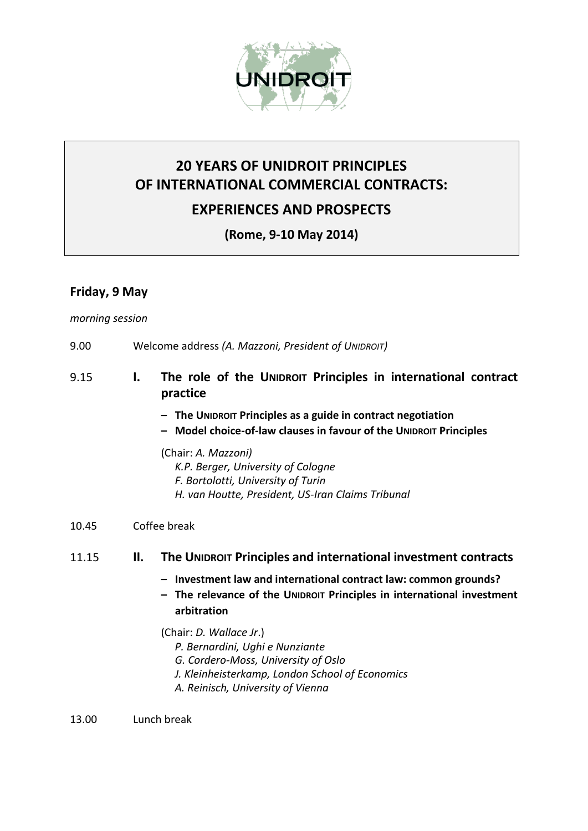

# **20 YEARS OF UNIDROIT PRINCIPLES OF INTERNATIONAL COMMERCIAL CONTRACTS: EXPERIENCES AND PROSPECTS**

**(Rome, 9-10 May 2014)**

## **Friday, 9 May**

#### *morning session*

- 9.00 Welcome address *(A. Mazzoni, President of UNIDROIT)*
- 9.15 **I. The role of the UNIDROIT Principles in international contract practice**
	- **– The UNIDROIT Principles as a guide in contract negotiation**
	- **– Model choice-of-law clauses in favour of the UNIDROIT Principles**

(Chair: *A. Mazzoni) K.P. Berger, University of Cologne F. Bortolotti, University of Turin H. van Houtte, President, US-Iran Claims Tribunal*

### 10.45 Coffee break

### 11.15 **II. The UNIDROIT Principles and international investment contracts**

- **– Investment law and international contract law: common grounds?**
- **– The relevance of the UNIDROIT Principles in international investment arbitration**

(Chair: *D. Wallace Jr*.)

- *P. Bernardini, Ughi e Nunziante*
- *G. Cordero-Moss, University of Oslo*
- *J. Kleinheisterkamp, London School of Economics*
- *A. Reinisch, University of Vienna*

13.00 Lunch break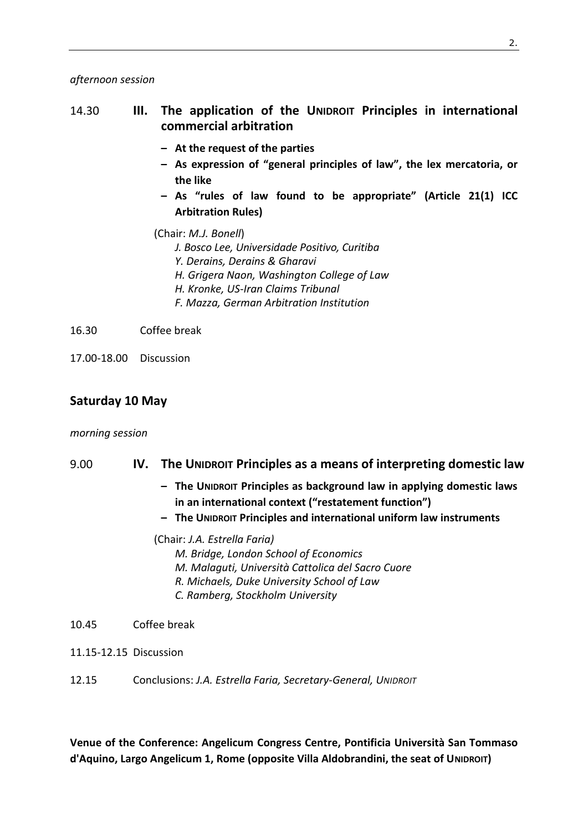#### *afternoon session*

## 14.30 **III. The application of the UNIDROIT Principles in international commercial arbitration**

- **– At the request of the parties**
- **– As expression of "general principles of law", the lex mercatoria, or the like**
- **– As "rules of law found to be appropriate" (Article 21(1) ICC Arbitration Rules)**
- (Chair: *M.J. Bonell*) *J. Bosco Lee, Universidade Positivo, Curitiba Y. Derains, Derains & Gharavi H. Grigera Naon, Washington College of Law H. Kronke, US-Iran Claims Tribunal F. Mazza, German Arbitration Institution*

16.30 Coffee break

17.00-18.00 Discussion

#### **Saturday 10 May**

#### *morning session*

#### 9.00 **IV. The UNIDROIT Principles as a means of interpreting domestic law**

- **– The UNIDROIT Principles as background law in applying domestic laws in an international context ("restatement function")**
- **– The UNIDROIT Principles and international uniform law instruments**

(Chair: *J.A. Estrella Faria) M. Bridge, London School of Economics M. Malaguti, Università Cattolica del Sacro Cuore R. Michaels, Duke University School of Law C. Ramberg, Stockholm University*

- 10.45 Coffee break
- 11.15-12.15 Discussion
- 12.15 Conclusions: *J.A. Estrella Faria, Secretary-General, UNIDROIT*

**Venue of the Conference: Angelicum Congress Centre, Pontificia Università San Tommaso d'Aquino, Largo Angelicum 1, Rome (opposite Villa Aldobrandini, the seat of UNIDROIT)**